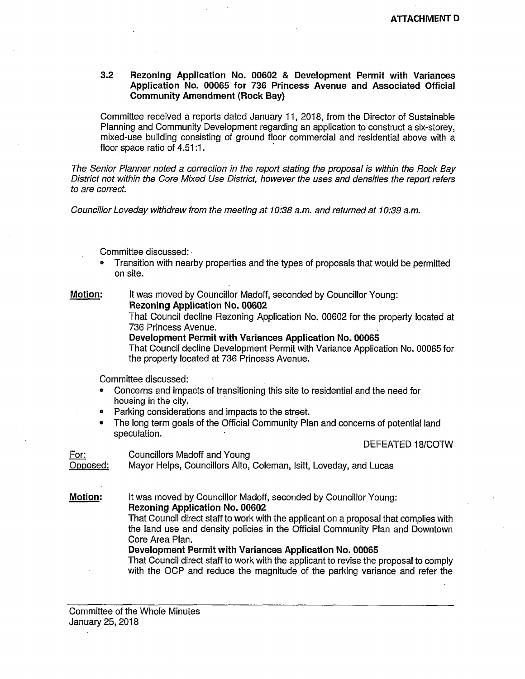## **3.2 Rezoning Application No. 00602 & Development Permit with Variances Application No. 00065 for 736 Princess Avenue and Associated Official Community Amendment (Rock Bay)**

Committee received a reports dated January 11, 2018, from the Director of Sustainable Planning and Community Development regarding an application to construct a six-storey, mixed-use building consisting of ground floor commercial and residential above with a floor space ratio of 4.51:1.

*The Senior Planner noted a correction in the report stating the proposal is within the Rock Bay District not within the Core Mixed Use District, however the uses and densities the report refers to are correct.* 

*Councillor Loveday withdrew from the meeting at 10:38 a.m. and returned at 10:39 a.m.* 

Committee discussed:

® Transition with nearby properties and the types of proposals that would be permitted on site.

**Motion:** It was moved by Councillor Madoff, seconded by Councillor Young:

**Rezoning Application No. 00602** 

That Council decline Rezoning Application No. 00602 for the property located at 736 Princess Avenue. .

**Development Permit with Variances Application No. 00065** 

That Council decline Development Permit with Variance Application No. 00065 for the property located at 736 Princess Avenue.

Committee discussed:

- Concerns and impacts of transitioning this site to residential and the need for housing in the city.
- Parking considerations and impacts to the street.
- The long term goals of the Official Community Plan and concerns of potential land speculation.

DEFEATED 18/COTW

For: Councillors Madoff and Young Opposed: Mayor Helps, Councillors Alto, Coleman, Isitt, Loveday, and Lucas

**Motion:** It was moved by Councillor Madoff, seconded by Councillor Young: **Rezoning Application No. 00602** 

> That Council direct staff to work with the applicant on a proposal that complies with the land use and density policies in the Official Community Plan and Downtown Core Area Plan.

**Development Permit with Variances Application No. 00065** 

That Council direct staff to work with the applicant to revise the proposal to comply with the OCP and reduce the magnitude of the parking variance and refer the